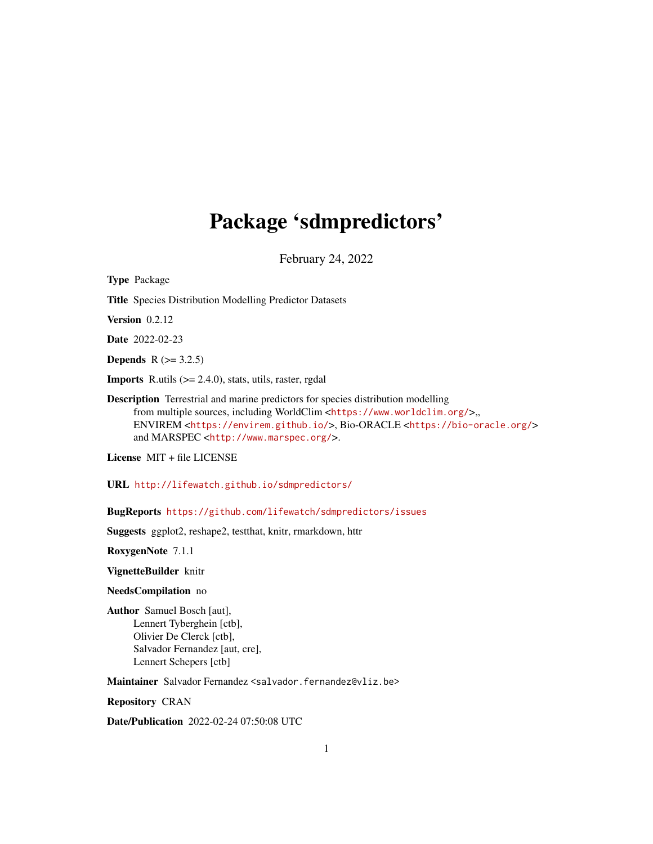## Package 'sdmpredictors'

February 24, 2022

<span id="page-0-0"></span>Type Package Title Species Distribution Modelling Predictor Datasets Version 0.2.12 Date 2022-02-23 **Depends**  $R (= 3.2.5)$ **Imports** R.utils  $(>= 2.4.0)$ , stats, utils, raster, rgdal Description Terrestrial and marine predictors for species distribution modelling from multiple sources, including WorldClim <<https://www.worldclim.org/>>,, ENVIREM <<https://envirem.github.io/>>, Bio-ORACLE <<https://bio-oracle.org/>> and MARSPEC <<http://www.marspec.org/>>.

License MIT + file LICENSE

URL <http://lifewatch.github.io/sdmpredictors/>

BugReports <https://github.com/lifewatch/sdmpredictors/issues>

Suggests ggplot2, reshape2, testthat, knitr, rmarkdown, httr

RoxygenNote 7.1.1

VignetteBuilder knitr

NeedsCompilation no

Author Samuel Bosch [aut], Lennert Tyberghein [ctb], Olivier De Clerck [ctb], Salvador Fernandez [aut, cre], Lennert Schepers [ctb]

Maintainer Salvador Fernandez <salvador.fernandez@vliz.be>

Repository CRAN

Date/Publication 2022-02-24 07:50:08 UTC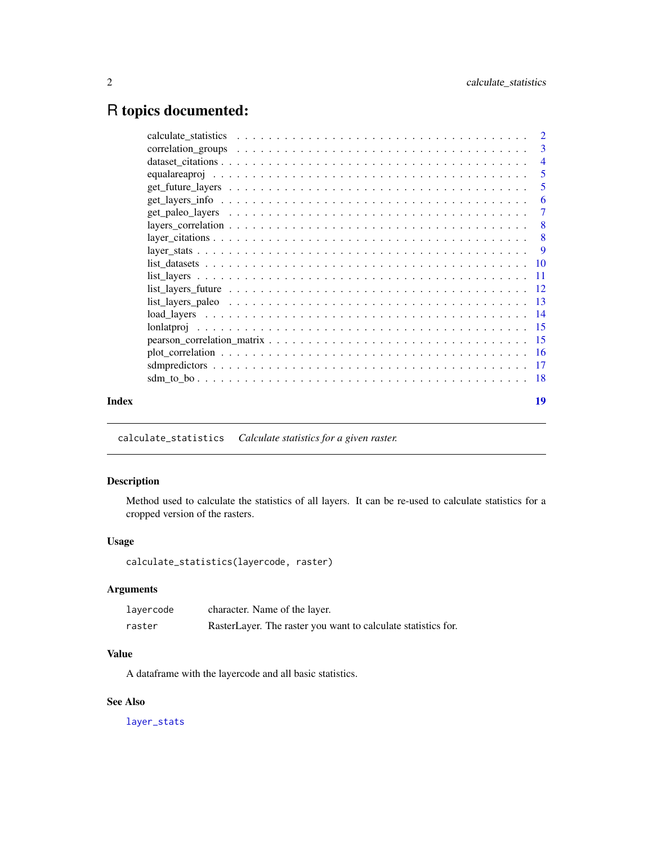## <span id="page-1-0"></span>R topics documented:

|       | -3                        |
|-------|---------------------------|
|       | $\overline{4}$            |
|       | $\overline{5}$            |
|       | 5                         |
|       | -6                        |
|       | -7                        |
|       | $\overline{\phantom{0}}8$ |
|       |                           |
|       | -9                        |
|       |                           |
|       |                           |
|       |                           |
|       |                           |
|       |                           |
|       |                           |
|       |                           |
|       |                           |
|       |                           |
|       |                           |
| Index | 19                        |
|       |                           |

calculate\_statistics *Calculate statistics for a given raster.*

### Description

Method used to calculate the statistics of all layers. It can be re-used to calculate statistics for a cropped version of the rasters.

### Usage

calculate\_statistics(layercode, raster)

### Arguments

| lavercode | character. Name of the layer.                                 |
|-----------|---------------------------------------------------------------|
| raster    | RasterLayer. The raster you want to calculate statistics for. |

### Value

A dataframe with the layercode and all basic statistics.

### See Also

[layer\\_stats](#page-8-1)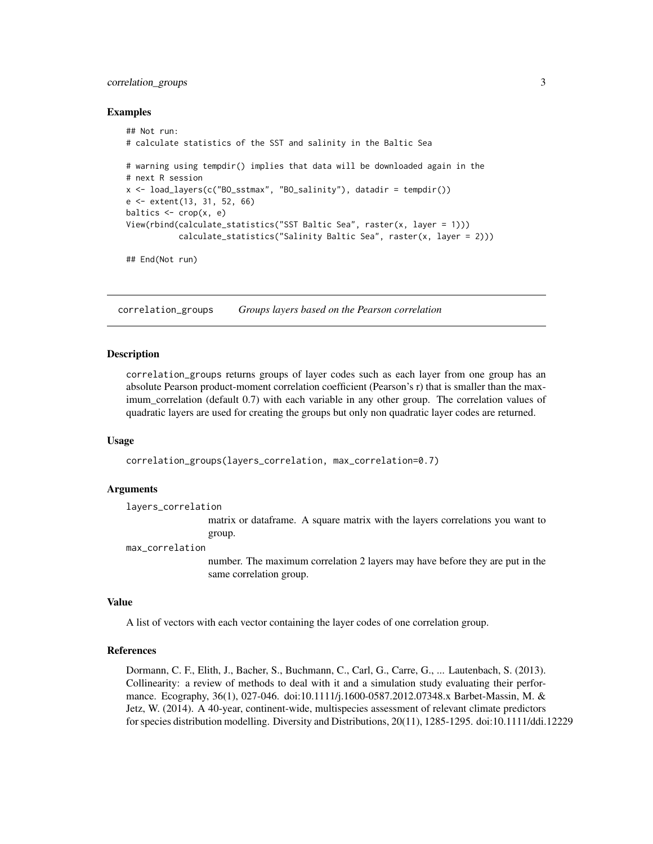### <span id="page-2-0"></span>correlation\_groups 3

#### Examples

```
## Not run:
# calculate statistics of the SST and salinity in the Baltic Sea
# warning using tempdir() implies that data will be downloaded again in the
# next R session
x <- load_layers(c("BO_sstmax", "BO_salinity"), datadir = tempdir())
e <- extent(13, 31, 52, 66)
baltics \leq crop(x, e)
View(rbind(calculate_statistics("SST Baltic Sea", raster(x, layer = 1)))
           calculate_statistics("Salinity Baltic Sea", raster(x, layer = 2)))
## End(Not run)
```
<span id="page-2-1"></span>correlation\_groups *Groups layers based on the Pearson correlation*

#### Description

correlation\_groups returns groups of layer codes such as each layer from one group has an absolute Pearson product-moment correlation coefficient (Pearson's r) that is smaller than the maximum\_correlation (default 0.7) with each variable in any other group. The correlation values of quadratic layers are used for creating the groups but only non quadratic layer codes are returned.

#### Usage

correlation\_groups(layers\_correlation, max\_correlation=0.7)

#### Arguments

layers\_correlation

matrix or dataframe. A square matrix with the layers correlations you want to group.

max\_correlation

number. The maximum correlation 2 layers may have before they are put in the same correlation group.

#### Value

A list of vectors with each vector containing the layer codes of one correlation group.

### References

Dormann, C. F., Elith, J., Bacher, S., Buchmann, C., Carl, G., Carre, G., ... Lautenbach, S. (2013). Collinearity: a review of methods to deal with it and a simulation study evaluating their performance. Ecography, 36(1), 027-046. doi:10.1111/j.1600-0587.2012.07348.x Barbet-Massin, M. & Jetz, W. (2014). A 40-year, continent-wide, multispecies assessment of relevant climate predictors for species distribution modelling. Diversity and Distributions, 20(11), 1285-1295. doi:10.1111/ddi.12229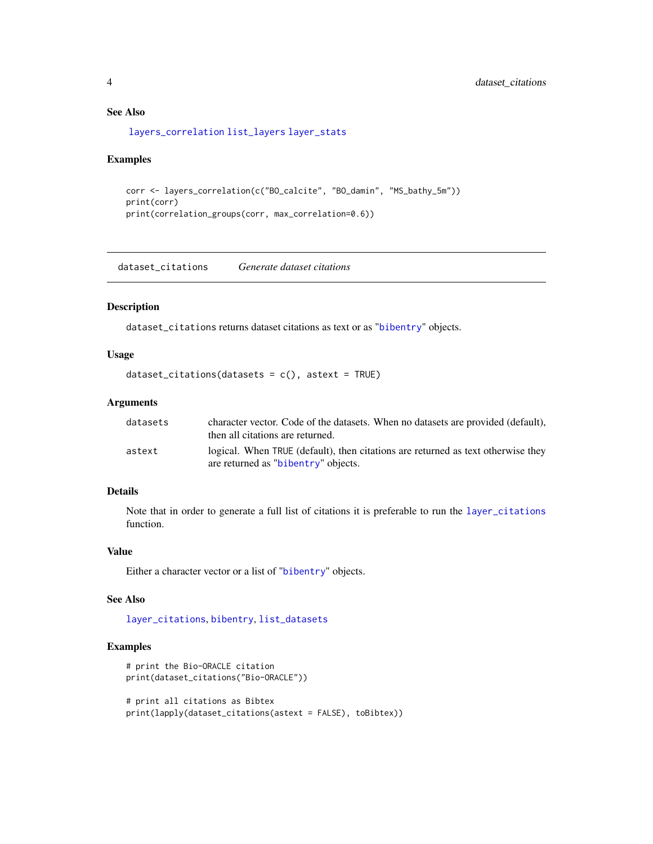### See Also

[layers\\_correlation](#page-7-1) [list\\_layers](#page-10-1) [layer\\_stats](#page-8-1)

#### Examples

```
corr <- layers_correlation(c("BO_calcite", "BO_damin", "MS_bathy_5m"))
print(corr)
print(correlation_groups(corr, max_correlation=0.6))
```
dataset\_citations *Generate dataset citations*

#### Description

dataset\_citations returns dataset citations as text or as "[bibentry](#page-0-0)" objects.

### Usage

```
dataset_citations(datasets = c(), astert = TRUE)
```
#### Arguments

| datasets | character vector. Code of the datasets. When no datasets are provided (default),<br>then all citations are returned.    |
|----------|-------------------------------------------------------------------------------------------------------------------------|
| astext   | logical. When TRUE (default), then citations are returned as text otherwise they<br>are returned as "bibentry" objects. |

### Details

Note that in order to generate a full list of citations it is preferable to run the [layer\\_citations](#page-7-2) function.

### Value

Either a character vector or a list of "[bibentry](#page-0-0)" objects.

#### See Also

[layer\\_citations](#page-7-2), [bibentry](#page-0-0), [list\\_datasets](#page-9-1)

```
# print the Bio-ORACLE citation
print(dataset_citations("Bio-ORACLE"))
# print all citations as Bibtex
print(lapply(dataset_citations(astext = FALSE), toBibtex))
```
<span id="page-3-0"></span>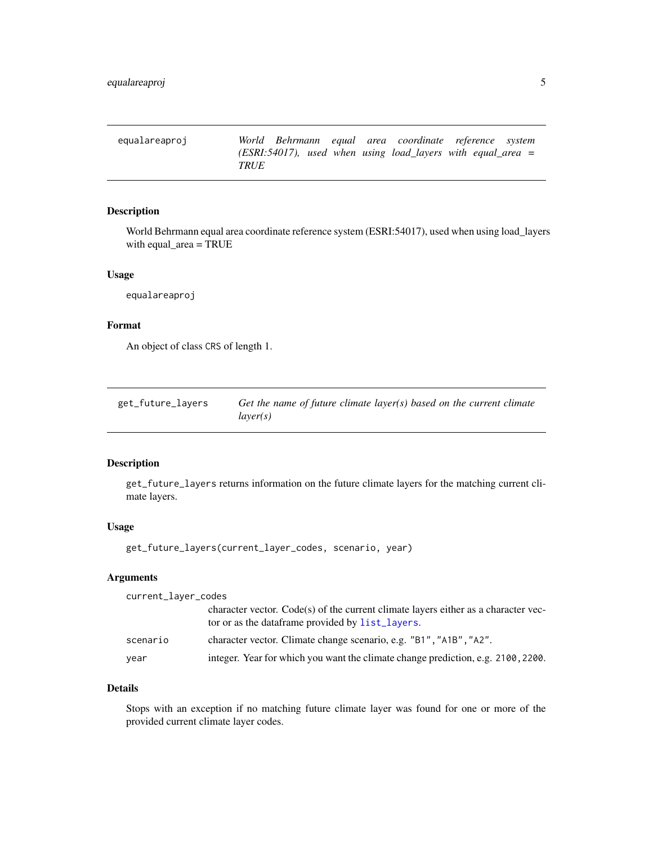<span id="page-4-2"></span><span id="page-4-0"></span>equalareaproj *World Behrmann equal area coordinate reference system (ESRI:54017), used when using load\_layers with equal\_area = TRUE*

### Description

World Behrmann equal area coordinate reference system (ESRI:54017), used when using load\_layers with equal\_area = TRUE

### Usage

equalareaproj

### Format

An object of class CRS of length 1.

<span id="page-4-1"></span>

| get_future_layers | Get the name of future climate layer(s) based on the current climate |
|-------------------|----------------------------------------------------------------------|
|                   | layer(s)                                                             |

### Description

get\_future\_layers returns information on the future climate layers for the matching current climate layers.

### Usage

get\_future\_layers(current\_layer\_codes, scenario, year)

### Arguments

| current_layer_codes |                                                                                                                                         |
|---------------------|-----------------------------------------------------------------------------------------------------------------------------------------|
|                     | character vector. Code(s) of the current climate layers either as a character vec-<br>tor or as the data frame provided by list_layers. |
| scenario            | character vector. Climate change scenario, e.g. "B1", "A1B", "A2".                                                                      |
| year                | integer. Year for which you want the climate change prediction, e.g. 2100, 2200.                                                        |

### Details

Stops with an exception if no matching future climate layer was found for one or more of the provided current climate layer codes.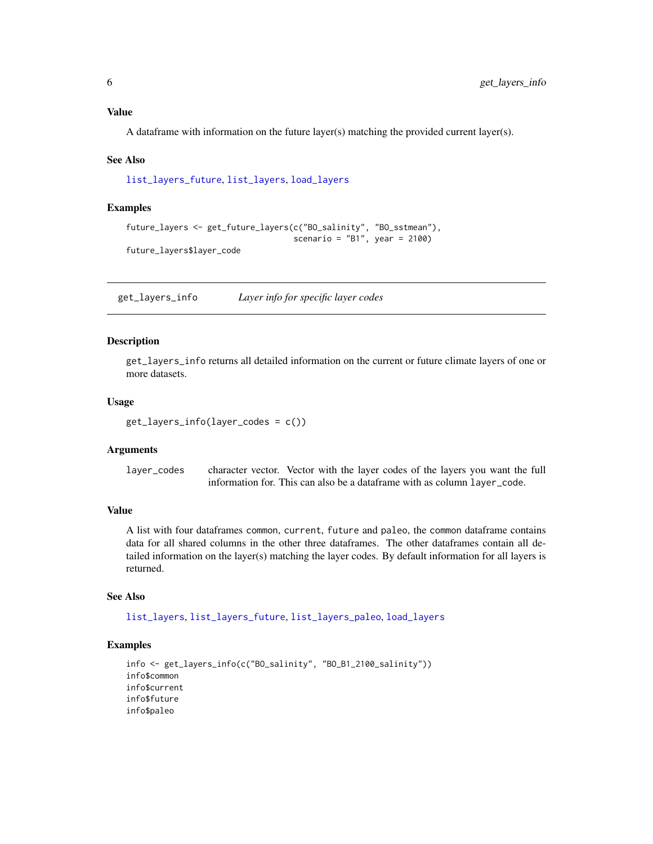### <span id="page-5-0"></span>Value

A dataframe with information on the future layer(s) matching the provided current layer(s).

#### See Also

[list\\_layers\\_future](#page-11-1), [list\\_layers](#page-10-1), [load\\_layers](#page-13-1)

#### Examples

```
future_layers <- get_future_layers(c("BO_salinity", "BO_sstmean"),
                                   scenario = "B1", year = 2100)
future_layers$layer_code
```
get\_layers\_info *Layer info for specific layer codes*

### Description

get\_layers\_info returns all detailed information on the current or future climate layers of one or more datasets.

#### Usage

```
get_layers_info(layer_codes = c())
```
### Arguments

layer\_codes character vector. Vector with the layer codes of the layers you want the full information for. This can also be a dataframe with as column layer\_code.

### Value

A list with four dataframes common, current, future and paleo, the common dataframe contains data for all shared columns in the other three dataframes. The other dataframes contain all detailed information on the layer(s) matching the layer codes. By default information for all layers is returned.

### See Also

[list\\_layers](#page-10-1), [list\\_layers\\_future](#page-11-1), [list\\_layers\\_paleo](#page-12-1), [load\\_layers](#page-13-1)

```
info <- get_layers_info(c("BO_salinity", "BO_B1_2100_salinity"))
info$common
info$current
info$future
info$paleo
```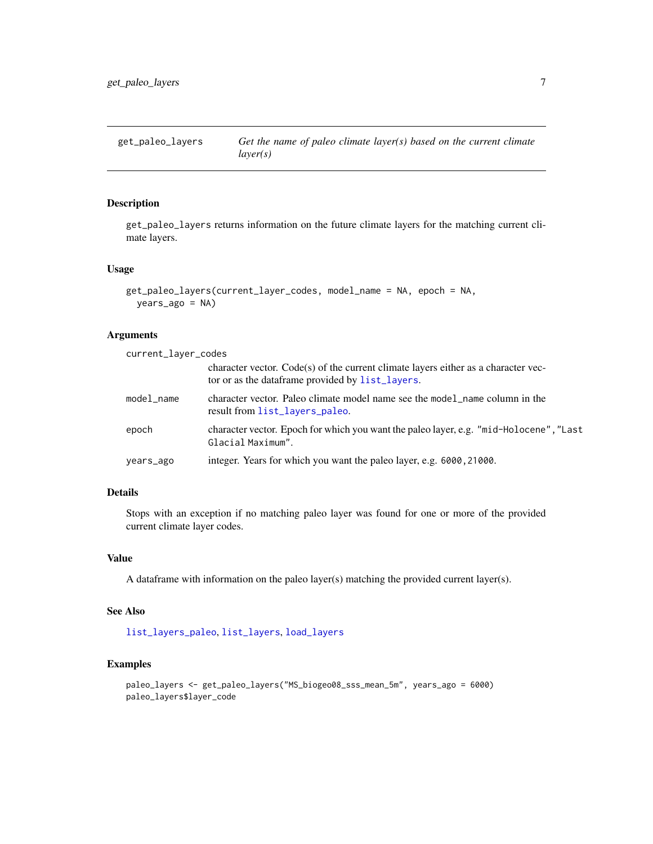<span id="page-6-1"></span><span id="page-6-0"></span>

### Description

get\_paleo\_layers returns information on the future climate layers for the matching current climate layers.

### Usage

```
get_paleo_layers(current_layer_codes, model_name = NA, epoch = NA,
 years_ago = NA)
```
### Arguments

| current_layer_codes |                                                                                                                                         |
|---------------------|-----------------------------------------------------------------------------------------------------------------------------------------|
|                     | character vector. Code(s) of the current climate layers either as a character vec-<br>tor or as the data frame provided by list_layers. |
| model_name          | character vector. Paleo climate model name see the model name column in the<br>result from list_layers_paleo.                           |
| epoch               | character vector. Epoch for which you want the paleo layer, e.g. "mid-Holocene", "Last<br>Glacial Maximum".                             |
| years_ago           | integer. Years for which you want the paleo layer, e.g. 6000, 21000.                                                                    |

### Details

Stops with an exception if no matching paleo layer was found for one or more of the provided current climate layer codes.

### Value

A dataframe with information on the paleo layer(s) matching the provided current layer(s).

### See Also

[list\\_layers\\_paleo](#page-12-1), [list\\_layers](#page-10-1), [load\\_layers](#page-13-1)

```
paleo_layers <- get_paleo_layers("MS_biogeo08_sss_mean_5m", years_ago = 6000)
paleo_layers$layer_code
```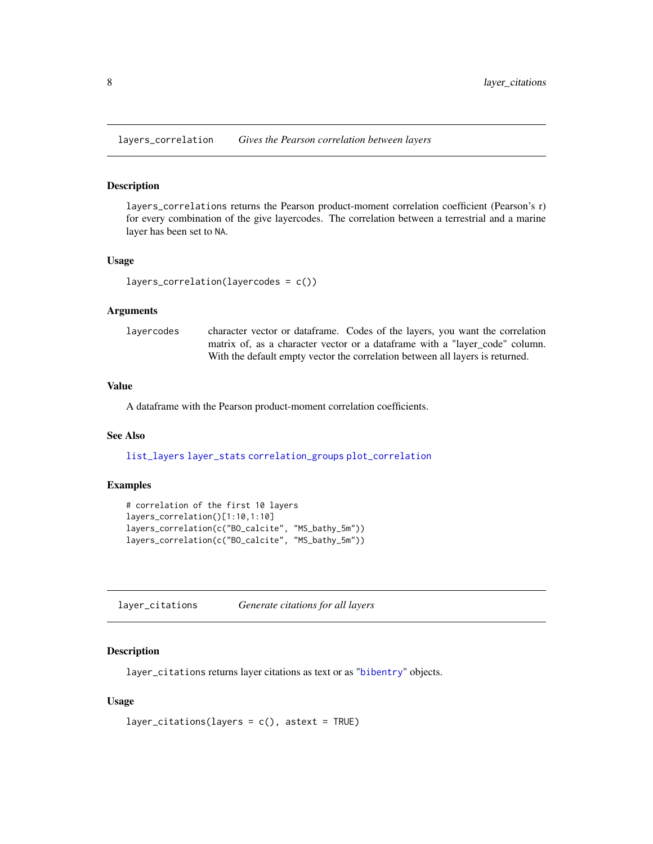<span id="page-7-1"></span><span id="page-7-0"></span>layers\_correlation *Gives the Pearson correlation between layers*

#### Description

layers\_correlations returns the Pearson product-moment correlation coefficient (Pearson's r) for every combination of the give layercodes. The correlation between a terrestrial and a marine layer has been set to NA.

#### Usage

```
layers_correlation(layercodes = c())
```
### Arguments

layercodes character vector or dataframe. Codes of the layers, you want the correlation matrix of, as a character vector or a dataframe with a "layer\_code" column. With the default empty vector the correlation between all layers is returned.

### Value

A dataframe with the Pearson product-moment correlation coefficients.

### See Also

[list\\_layers](#page-10-1) [layer\\_stats](#page-8-1) [correlation\\_groups](#page-2-1) [plot\\_correlation](#page-15-1)

#### Examples

```
# correlation of the first 10 layers
layers_correlation()[1:10,1:10]
layers_correlation(c("BO_calcite", "MS_bathy_5m"))
layers_correlation(c("BO_calcite", "MS_bathy_5m"))
```
<span id="page-7-2"></span>layer\_citations *Generate citations for all layers*

### Description

layer\_citations returns layer citations as text or as "[bibentry](#page-0-0)" objects.

### Usage

```
layer_citations(layers = c(), astext = TRUE)
```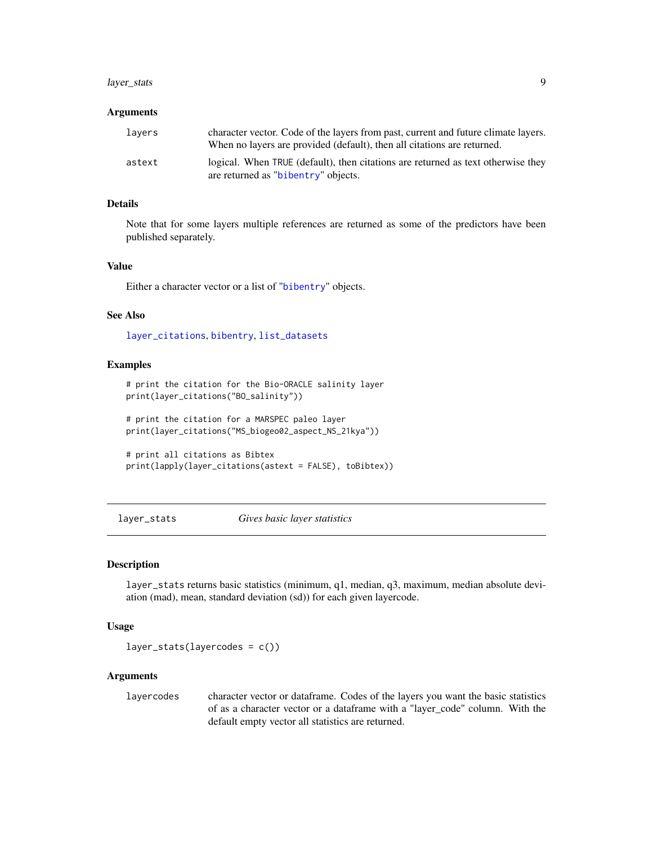### <span id="page-8-0"></span>layer\_stats 9

#### Arguments

| lavers | character vector. Code of the layers from past, current and future climate layers.<br>When no layers are provided (default), then all citations are returned. |
|--------|---------------------------------------------------------------------------------------------------------------------------------------------------------------|
| astext | logical. When TRUE (default), then citations are returned as text otherwise they<br>are returned as "bibentry" objects.                                       |

### Details

Note that for some layers multiple references are returned as some of the predictors have been published separately.

### Value

Either a character vector or a list of "[bibentry](#page-0-0)" objects.

### See Also

[layer\\_citations](#page-7-2), [bibentry](#page-0-0), [list\\_datasets](#page-9-1)

#### Examples

```
# print the citation for the Bio-ORACLE salinity layer
print(layer_citations("BO_salinity"))
# print the citation for a MARSPEC paleo layer
print(layer_citations("MS_biogeo02_aspect_NS_21kya"))
# print all citations as Bibtex
```

```
print(lapply(layer_citations(astext = FALSE), toBibtex))
```
<span id="page-8-1"></span>layer\_stats *Gives basic layer statistics*

#### Description

layer\_stats returns basic statistics (minimum, q1, median, q3, maximum, median absolute deviation (mad), mean, standard deviation (sd)) for each given layercode.

#### Usage

 $layer\_stats(layercodes = c())$ 

### Arguments

layercodes character vector or dataframe. Codes of the layers you want the basic statistics of as a character vector or a dataframe with a "layer\_code" column. With the default empty vector all statistics are returned.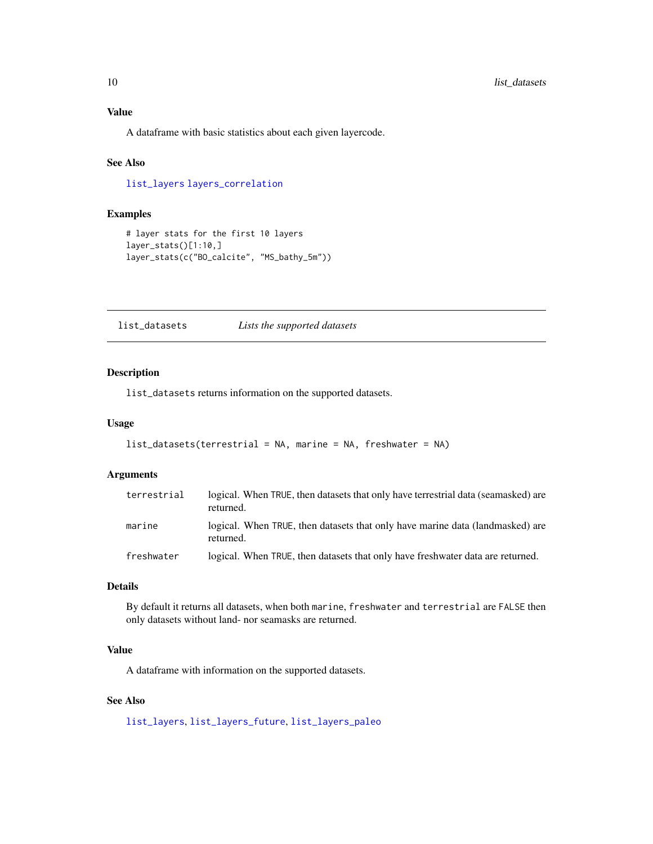<span id="page-9-0"></span>A dataframe with basic statistics about each given layercode.

### See Also

[list\\_layers](#page-10-1) [layers\\_correlation](#page-7-1)

### Examples

```
# layer stats for the first 10 layers
layer_stats()[1:10,]
layer_stats(c("BO_calcite", "MS_bathy_5m"))
```
<span id="page-9-1"></span>list\_datasets *Lists the supported datasets*

### Description

list\_datasets returns information on the supported datasets.

#### Usage

```
list_datasets(terrestrial = NA, marine = NA, freshwater = NA)
```
### Arguments

| terrestrial | logical. When TRUE, then datasets that only have terrestrial data (seamasked) are<br>returned. |
|-------------|------------------------------------------------------------------------------------------------|
| marine      | logical. When TRUE, then datasets that only have marine data (landmasked) are<br>returned.     |
| freshwater  | logical. When TRUE, then datasets that only have freshwater data are returned.                 |

### Details

By default it returns all datasets, when both marine, freshwater and terrestrial are FALSE then only datasets without land- nor seamasks are returned.

### Value

A dataframe with information on the supported datasets.

### See Also

[list\\_layers](#page-10-1), [list\\_layers\\_future](#page-11-1), [list\\_layers\\_paleo](#page-12-1)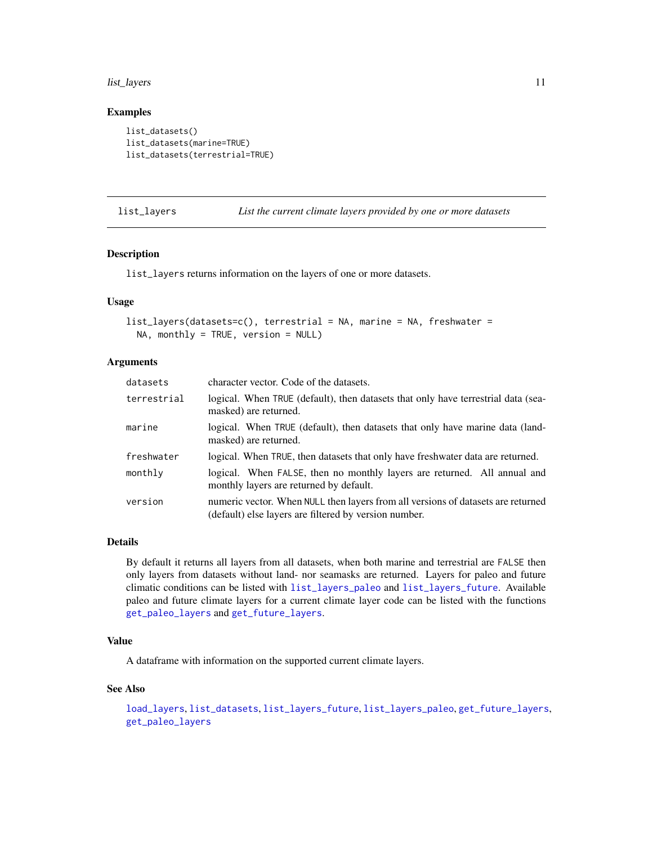#### <span id="page-10-0"></span>list\_layers 11

### Examples

```
list_datasets()
list_datasets(marine=TRUE)
list_datasets(terrestrial=TRUE)
```
<span id="page-10-1"></span>list\_layers *List the current climate layers provided by one or more datasets*

### Description

list\_layers returns information on the layers of one or more datasets.

### Usage

```
list_layers(datasets=c(), terrestrial = NA, marine = NA, freshwater =
 NA, monthly = TRUE, version = NULL)
```
### Arguments

| datasets    | character vector. Code of the datasets.                                                                                                   |
|-------------|-------------------------------------------------------------------------------------------------------------------------------------------|
| terrestrial | logical. When TRUE (default), then datasets that only have terrestrial data (sea-<br>masked) are returned.                                |
| marine      | logical. When TRUE (default), then datasets that only have marine data (land-<br>masked) are returned.                                    |
| freshwater  | logical. When TRUE, then datasets that only have freshwater data are returned.                                                            |
| monthly     | logical. When FALSE, then no monthly layers are returned. All annual and<br>monthly layers are returned by default.                       |
| version     | numeric vector. When NULL then layers from all versions of datasets are returned<br>(default) else layers are filtered by version number. |

### Details

By default it returns all layers from all datasets, when both marine and terrestrial are FALSE then only layers from datasets without land- nor seamasks are returned. Layers for paleo and future climatic conditions can be listed with [list\\_layers\\_paleo](#page-12-1) and [list\\_layers\\_future](#page-11-1). Available paleo and future climate layers for a current climate layer code can be listed with the functions [get\\_paleo\\_layers](#page-6-1) and [get\\_future\\_layers](#page-4-1).

### Value

A dataframe with information on the supported current climate layers.

#### See Also

```
load_layers, list_datasets, list_layers_future, list_layers_paleo, get_future_layers,
get_paleo_layers
```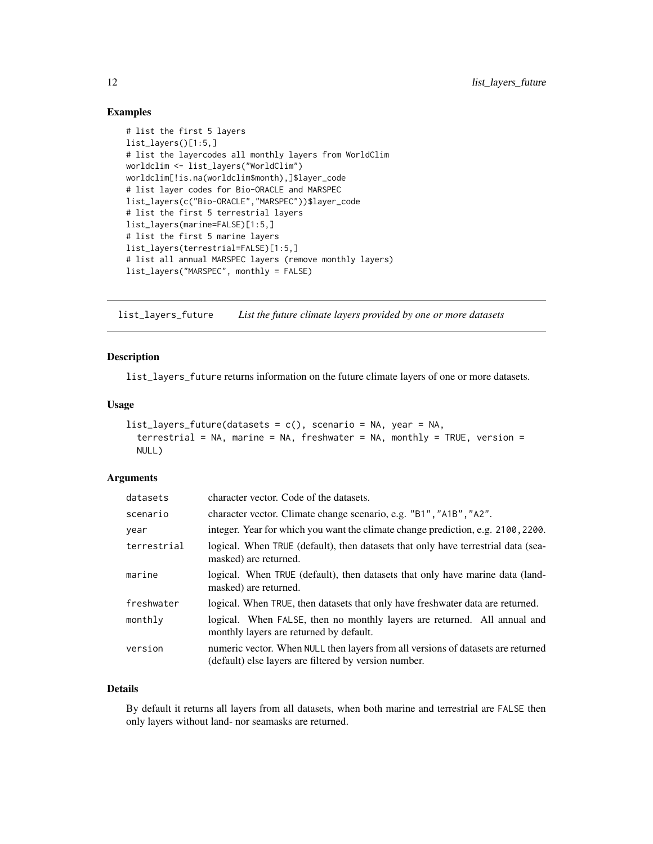### Examples

```
# list the first 5 layers
list_layers()[1:5,]
# list the layercodes all monthly layers from WorldClim
worldclim <- list_layers("WorldClim")
worldclim[!is.na(worldclim$month),]$layer_code
# list layer codes for Bio-ORACLE and MARSPEC
list_layers(c("Bio-ORACLE","MARSPEC"))$layer_code
# list the first 5 terrestrial layers
list_layers(marine=FALSE)[1:5,]
# list the first 5 marine layers
list_layers(terrestrial=FALSE)[1:5,]
# list all annual MARSPEC layers (remove monthly layers)
list_layers("MARSPEC", monthly = FALSE)
```
<span id="page-11-1"></span>list\_layers\_future *List the future climate layers provided by one or more datasets*

#### Description

list\_layers\_future returns information on the future climate layers of one or more datasets.

### Usage

```
list\_{layers\_future(datasets = c(), scenario = NA, year = NA,terrestrial = NA, marine = NA, freshwater = NA, monthly = TRUE, version =
 NULL)
```
### Arguments

| datasets    | character vector. Code of the datasets.                                                                                                   |
|-------------|-------------------------------------------------------------------------------------------------------------------------------------------|
| scenario    | character vector. Climate change scenario, e.g. "B1", "A1B", "A2".                                                                        |
| vear        | integer. Year for which you want the climate change prediction, e.g. 2100, 2200.                                                          |
| terrestrial | logical. When TRUE (default), then datasets that only have terrestrial data (sea-<br>masked) are returned.                                |
| marine      | logical. When TRUE (default), then datasets that only have marine data (land-<br>masked) are returned.                                    |
| freshwater  | logical. When TRUE, then datasets that only have freshwater data are returned.                                                            |
| monthly     | logical. When FALSE, then no monthly layers are returned. All annual and<br>monthly layers are returned by default.                       |
| version     | numeric vector. When NULL then layers from all versions of datasets are returned<br>(default) else layers are filtered by version number. |

#### Details

By default it returns all layers from all datasets, when both marine and terrestrial are FALSE then only layers without land- nor seamasks are returned.

<span id="page-11-0"></span>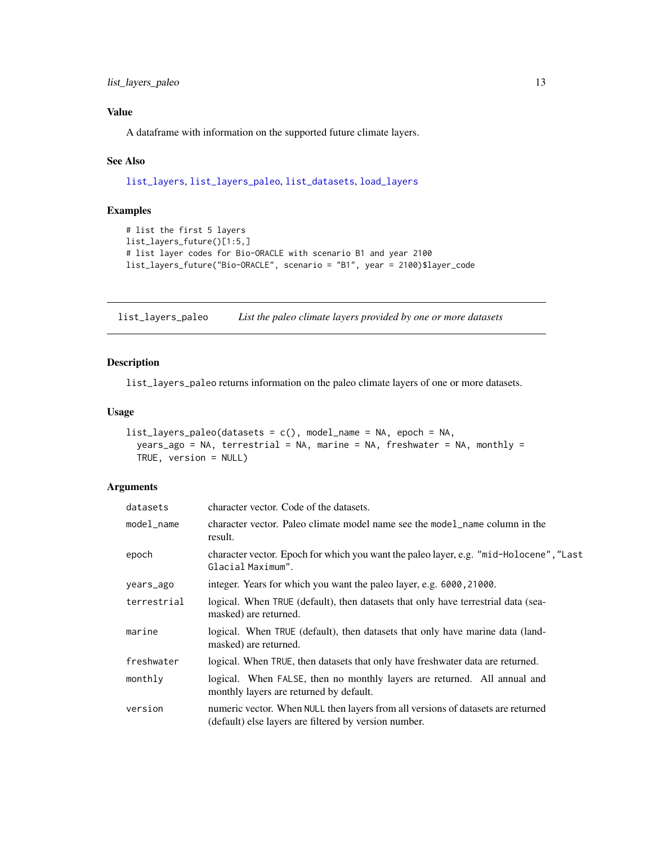### <span id="page-12-0"></span>Value

A dataframe with information on the supported future climate layers.

### See Also

```
list_layers, list_layers_paleo, list_datasets, load_layers
```
### Examples

```
# list the first 5 layers
list_layers_future()[1:5,]
# list layer codes for Bio-ORACLE with scenario B1 and year 2100
list_layers_future("Bio-ORACLE", scenario = "B1", year = 2100)$layer_code
```
<span id="page-12-1"></span>list\_layers\_paleo *List the paleo climate layers provided by one or more datasets*

### Description

list\_layers\_paleo returns information on the paleo climate layers of one or more datasets.

### Usage

```
list_layers_paleo(datasets = c(), model_name = NA, epoch = NA,
  years_ago = NA, terrestrial = NA, marine = NA, freshwater = NA, monthly =
  TRUE, version = NULL)
```
### Arguments

| datasets    | character vector. Code of the datasets.                                                                                                   |
|-------------|-------------------------------------------------------------------------------------------------------------------------------------------|
| model_name  | character vector. Paleo climate model name see the model_name column in the<br>result.                                                    |
| epoch       | character vector. Epoch for which you want the paleo layer, e.g. "mid-Holocene", "Last<br>Glacial Maximum".                               |
| years_ago   | integer. Years for which you want the paleo layer, e.g. 6000, 21000.                                                                      |
| terrestrial | logical. When TRUE (default), then datasets that only have terrestrial data (sea-<br>masked) are returned.                                |
| marine      | logical. When TRUE (default), then datasets that only have marine data (land-<br>masked) are returned.                                    |
| freshwater  | logical. When TRUE, then datasets that only have freshwater data are returned.                                                            |
| monthly     | logical. When FALSE, then no monthly layers are returned. All annual and<br>monthly layers are returned by default.                       |
| version     | numeric vector. When NULL then layers from all versions of datasets are returned<br>(default) else layers are filtered by version number. |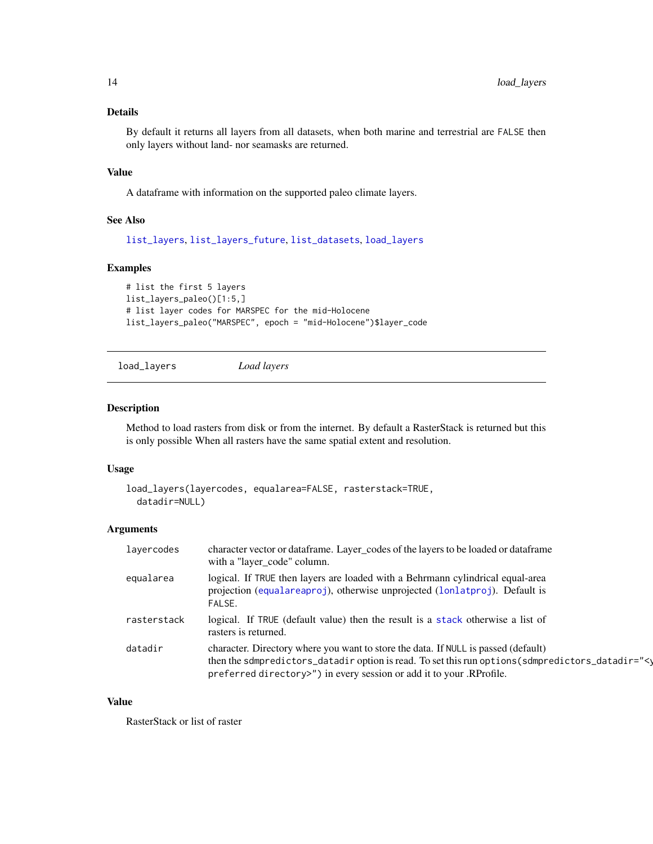### <span id="page-13-0"></span>Details

By default it returns all layers from all datasets, when both marine and terrestrial are FALSE then only layers without land- nor seamasks are returned.

### Value

A dataframe with information on the supported paleo climate layers.

### See Also

[list\\_layers](#page-10-1), [list\\_layers\\_future](#page-11-1), [list\\_datasets](#page-9-1), [load\\_layers](#page-13-1)

### Examples

```
# list the first 5 layers
list_layers_paleo()[1:5,]
# list layer codes for MARSPEC for the mid-Holocene
list_layers_paleo("MARSPEC", epoch = "mid-Holocene")$layer_code
```

```
load_layers Load layers
```
### Description

Method to load rasters from disk or from the internet. By default a RasterStack is returned but this is only possible When all rasters have the same spatial extent and resolution.

#### Usage

```
load_layers(layercodes, equalarea=FALSE, rasterstack=TRUE,
 datadir=NULL)
```
### Arguments

| lavercodes  | character vector or dataframe. Layer_codes of the layers to be loaded or dataframe<br>with a "layer_code" column.                                                                                                                                               |
|-------------|-----------------------------------------------------------------------------------------------------------------------------------------------------------------------------------------------------------------------------------------------------------------|
| equalarea   | logical. If TRUE then layers are loaded with a Behrmann cylindrical equal-area<br>projection (equalareaproj), otherwise unprojected (lonlatproj). Default is<br>FALSE.                                                                                          |
| rasterstack | logical. If TRUE (default value) then the result is a stack otherwise a list of<br>rasters is returned.                                                                                                                                                         |
| datadir     | character. Directory where you want to store the data. If NULL is passed (default)<br>then the sdmpredictors_datadir option is read. To set this run options (sdmpredictors_datadir="<)<br>preferred directory>") in every session or add it to your .RProfile. |

### Value

RasterStack or list of raster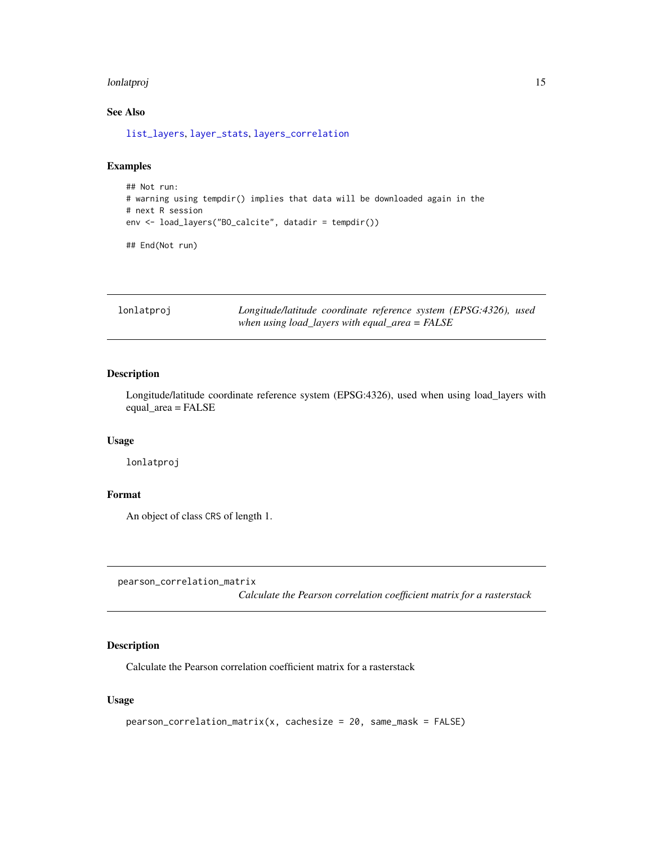#### <span id="page-14-0"></span>lonlatproj 15

### See Also

[list\\_layers](#page-10-1), [layer\\_stats](#page-8-1), [layers\\_correlation](#page-7-1)

### Examples

```
## Not run:
# warning using tempdir() implies that data will be downloaded again in the
# next R session
env <- load_layers("BO_calcite", datadir = tempdir())
```
## End(Not run)

<span id="page-14-1"></span>lonlatproj *Longitude/latitude coordinate reference system (EPSG:4326), used when using load\_layers with equal\_area = FALSE*

### Description

Longitude/latitude coordinate reference system (EPSG:4326), used when using load\_layers with equal\_area = FALSE

#### Usage

lonlatproj

#### Format

An object of class CRS of length 1.

<span id="page-14-2"></span>pearson\_correlation\_matrix

*Calculate the Pearson correlation coefficient matrix for a rasterstack*

### Description

Calculate the Pearson correlation coefficient matrix for a rasterstack

#### Usage

```
pearson_correlation_matrix(x, cachesize = 20, same_mask = FALSE)
```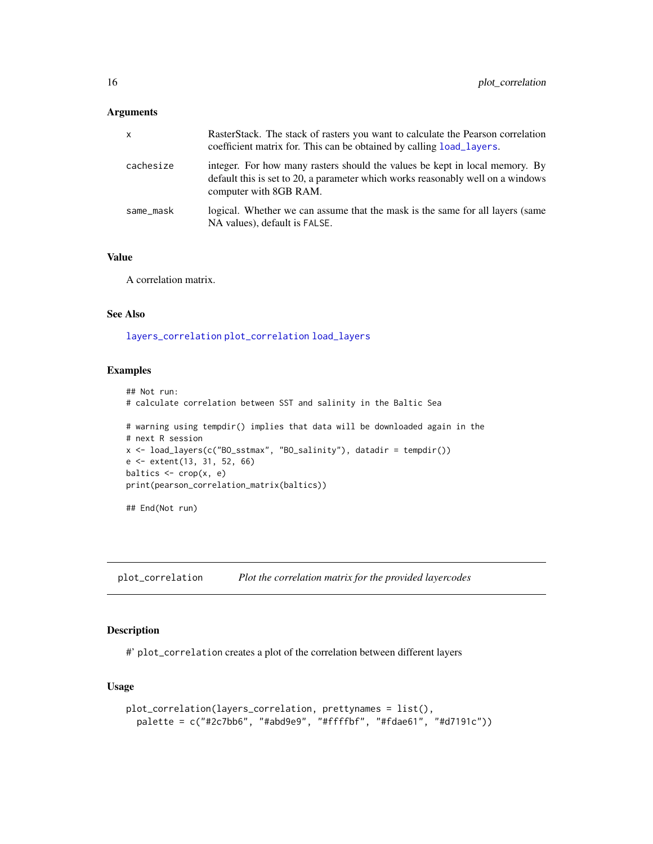#### <span id="page-15-0"></span>Arguments

| $\mathsf{x}$ | RasterStack. The stack of rasters you want to calculate the Pearson correlation<br>coefficient matrix for. This can be obtained by calling load layers.                                  |
|--------------|------------------------------------------------------------------------------------------------------------------------------------------------------------------------------------------|
| cachesize    | integer. For how many rasters should the values be kept in local memory. By<br>default this is set to 20, a parameter which works reasonably well on a windows<br>computer with 8GB RAM. |
| same_mask    | logical. Whether we can assume that the mask is the same for all layers (same<br>NA values), default is FALSE.                                                                           |

### Value

A correlation matrix.

### See Also

[layers\\_correlation](#page-7-1) [plot\\_correlation](#page-15-1) [load\\_layers](#page-13-1)

### Examples

```
## Not run:
# calculate correlation between SST and salinity in the Baltic Sea
# warning using tempdir() implies that data will be downloaded again in the
# next R session
x <- load_layers(c("BO_sstmax", "BO_salinity"), datadir = tempdir())
e <- extent(13, 31, 52, 66)
baltics <- crop(x, e)
print(pearson_correlation_matrix(baltics))
## End(Not run)
```
<span id="page-15-1"></span>plot\_correlation *Plot the correlation matrix for the provided layercodes*

### Description

#' plot\_correlation creates a plot of the correlation between different layers

### Usage

```
plot_correlation(layers_correlation, prettynames = list(),
 palette = c("#2c7bb6", "#abd9e9", "#ffffbf", "#fdae61", "#d7191c"))
```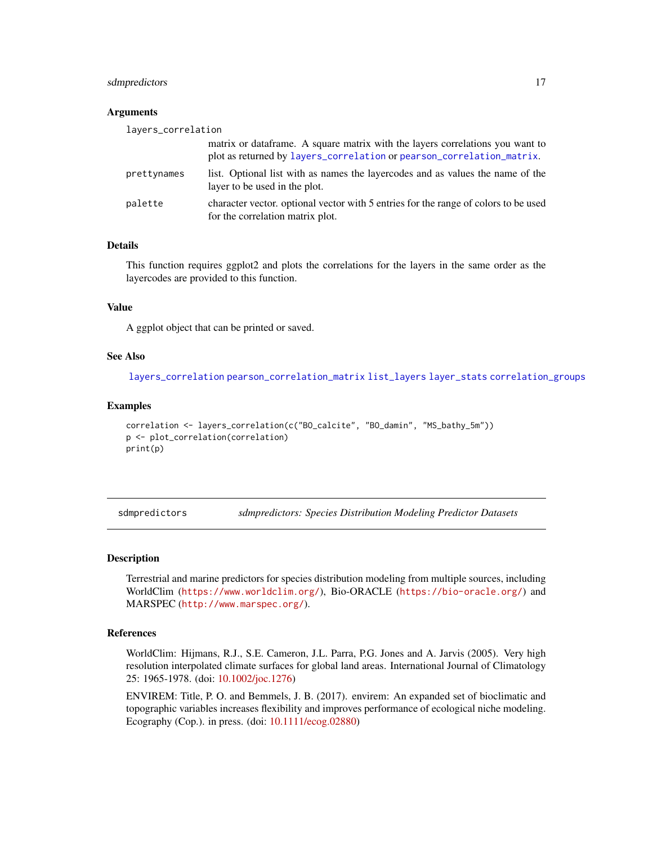### <span id="page-16-0"></span>sdmpredictors and the state of the state of the state of the state of the state of the state of the state of the state of the state of the state of the state of the state of the state of the state of the state of the state

#### **Arguments**

| layers_correlation |                                                                                                                                                         |
|--------------------|---------------------------------------------------------------------------------------------------------------------------------------------------------|
|                    | matrix or data frame. A square matrix with the layers correlations you want to<br>plot as returned by layers_correlation or pearson_correlation_matrix. |
| prettynames        | list. Optional list with as names the layercodes and as values the name of the<br>layer to be used in the plot.                                         |
| palette            | character vector, optional vector with 5 entries for the range of colors to be used<br>for the correlation matrix plot.                                 |

### Details

This function requires ggplot2 and plots the correlations for the layers in the same order as the layercodes are provided to this function.

### Value

A ggplot object that can be printed or saved.

#### See Also

[layers\\_correlation](#page-7-1) [pearson\\_correlation\\_matrix](#page-14-2) [list\\_layers](#page-10-1) [layer\\_stats](#page-8-1) [correlation\\_groups](#page-2-1)

#### Examples

```
correlation <- layers_correlation(c("BO_calcite", "BO_damin", "MS_bathy_5m"))
p <- plot_correlation(correlation)
print(p)
```
sdmpredictors *sdmpredictors: Species Distribution Modeling Predictor Datasets*

#### Description

Terrestrial and marine predictors for species distribution modeling from multiple sources, including WorldClim (<https://www.worldclim.org/>), Bio-ORACLE (<https://bio-oracle.org/>) and MARSPEC (<http://www.marspec.org/>).

### References

WorldClim: Hijmans, R.J., S.E. Cameron, J.L. Parra, P.G. Jones and A. Jarvis (2005). Very high resolution interpolated climate surfaces for global land areas. International Journal of Climatology 25: 1965-1978. (doi: [10.1002/joc.1276\)](https://doi.org/10.1002/joc.1276)

ENVIREM: Title, P. O. and Bemmels, J. B. (2017). envirem: An expanded set of bioclimatic and topographic variables increases flexibility and improves performance of ecological niche modeling. Ecography (Cop.). in press. (doi: [10.1111/ecog.02880\)](https://doi.org/10.1111/ecog.02880)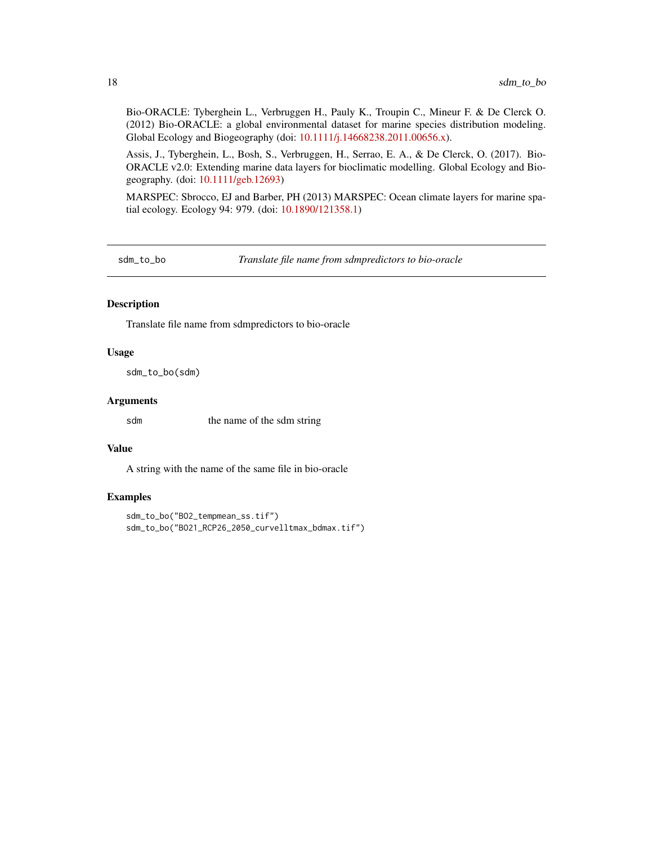<span id="page-17-0"></span>Bio-ORACLE: Tyberghein L., Verbruggen H., Pauly K., Troupin C., Mineur F. & De Clerck O. (2012) Bio-ORACLE: a global environmental dataset for marine species distribution modeling. Global Ecology and Biogeography (doi: [10.1111/j.14668238.2011.00656.x\)](https://doi.org/10.1111/j.1466-8238.2011.00656.x).

Assis, J., Tyberghein, L., Bosh, S., Verbruggen, H., Serrao, E. A., & De Clerck, O. (2017). Bio-ORACLE v2.0: Extending marine data layers for bioclimatic modelling. Global Ecology and Biogeography. (doi: [10.1111/geb.12693\)](https://doi.org/10.1111/geb.12693)

MARSPEC: Sbrocco, EJ and Barber, PH (2013) MARSPEC: Ocean climate layers for marine spatial ecology. Ecology 94: 979. (doi: [10.1890/121358.1\)](https://doi.org/10.1890/12-1358.1)

sdm\_to\_bo *Translate file name from sdmpredictors to bio-oracle*

### Description

Translate file name from sdmpredictors to bio-oracle

#### Usage

sdm\_to\_bo(sdm)

#### Arguments

sdm the name of the sdm string

#### Value

A string with the name of the same file in bio-oracle

```
sdm_to_bo("BO2_tempmean_ss.tif")
sdm_to_bo("BO21_RCP26_2050_curvelltmax_bdmax.tif")
```